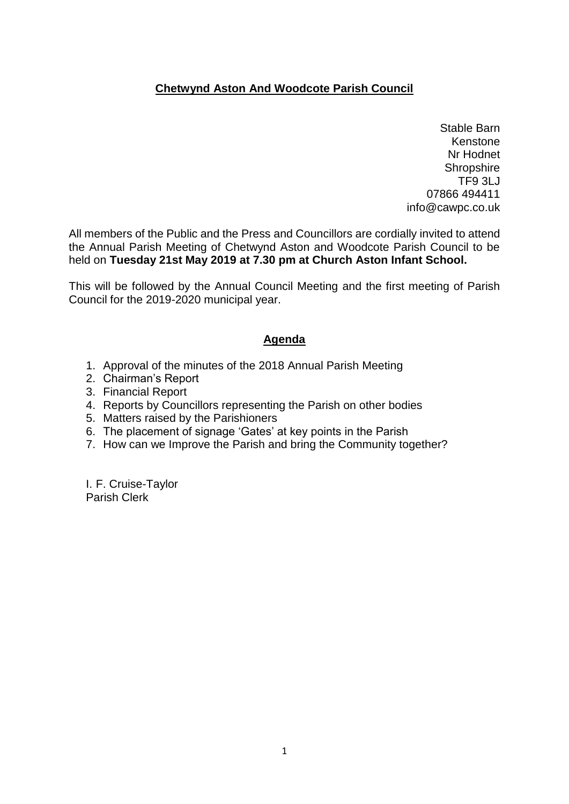## **Chetwynd Aston And Woodcote Parish Council**

Stable Barn Kenstone Nr Hodnet **Shropshire** TF9 3LJ 07866 494411 [info@cawpc.co.uk](mailto:info@cawpc.co.uk)

All members of the Public and the Press and Councillors are cordially invited to attend the Annual Parish Meeting of Chetwynd Aston and Woodcote Parish Council to be held on **Tuesday 21st May 2019 at 7.30 pm at Church Aston Infant School.**

This will be followed by the Annual Council Meeting and the first meeting of Parish Council for the 2019-2020 municipal year.

## **Agenda**

- 1. Approval of the minutes of the 2018 Annual Parish Meeting
- 2. Chairman's Report
- 3. Financial Report
- 4. Reports by Councillors representing the Parish on other bodies
- 5. Matters raised by the Parishioners
- 6. The placement of signage 'Gates' at key points in the Parish
- 7. How can we Improve the Parish and bring the Community together?

I. F. Cruise-Taylor Parish Clerk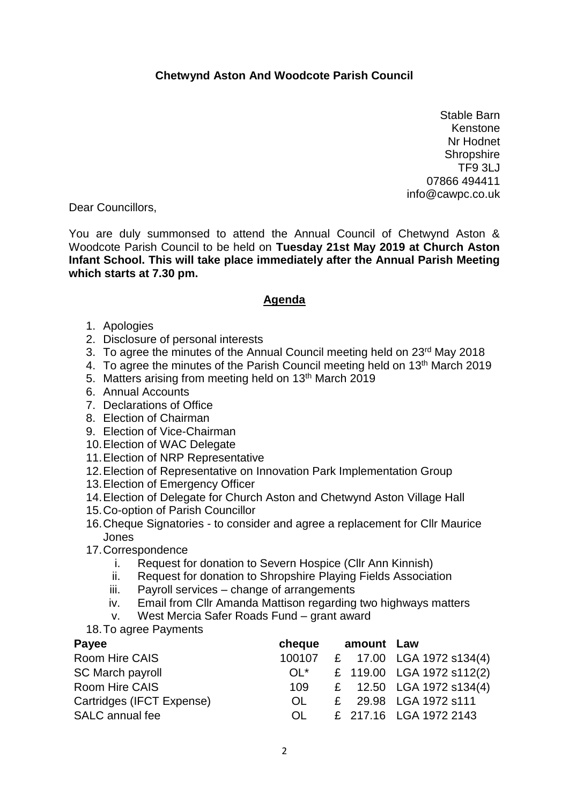## **Chetwynd Aston And Woodcote Parish Council**

Stable Barn Kenstone Nr Hodnet **Shropshire** TF9 3LJ 07866 494411 info@cawpc.co.uk

Dear Councillors,

You are duly summonsed to attend the Annual Council of Chetwynd Aston & Woodcote Parish Council to be held on **Tuesday 21st May 2019 at Church Aston Infant School. This will take place immediately after the Annual Parish Meeting which starts at 7.30 pm.**

## **Agenda**

- 1. Apologies
- 2. Disclosure of personal interests
- 3. To agree the minutes of the Annual Council meeting held on 23<sup>rd</sup> May 2018
- 4. To agree the minutes of the Parish Council meeting held on 13<sup>th</sup> March 2019
- 5. Matters arising from meeting held on 13<sup>th</sup> March 2019
- 6. Annual Accounts
- 7. Declarations of Office
- 8. Election of Chairman
- 9. Election of Vice-Chairman
- 10.Election of WAC Delegate
- 11.Election of NRP Representative
- 12.Election of Representative on Innovation Park Implementation Group
- 13.Election of Emergency Officer
- 14.Election of Delegate for Church Aston and Chetwynd Aston Village Hall
- 15.Co-option of Parish Councillor
- 16.Cheque Signatories to consider and agree a replacement for Cllr Maurice Jones
- 17.Correspondence
	- i. Request for donation to Severn Hospice (Cllr Ann Kinnish)
	- ii. Request for donation to Shropshire Playing Fields Association
	- iii. Payroll services change of arrangements
	- iv. Email from Cllr Amanda Mattison regarding two highways matters
	- v. West Mercia Safer Roads Fund grant award
- 18.To agree Payments

| Payee                     | cheque | amount Law |                           |
|---------------------------|--------|------------|---------------------------|
| Room Hire CAIS            | 100107 |            | £ 17.00 LGA 1972 s134(4)  |
| SC March payroll          | $OL^*$ |            | £ 119.00 LGA 1972 s112(2) |
| Room Hire CAIS            | 109    |            | £ 12.50 LGA 1972 s134(4)  |
| Cartridges (IFCT Expense) | OL.    |            | £ 29.98 LGA 1972 s111     |
| SALC annual fee           | OL.    |            | £ 217.16 LGA 1972 2143    |